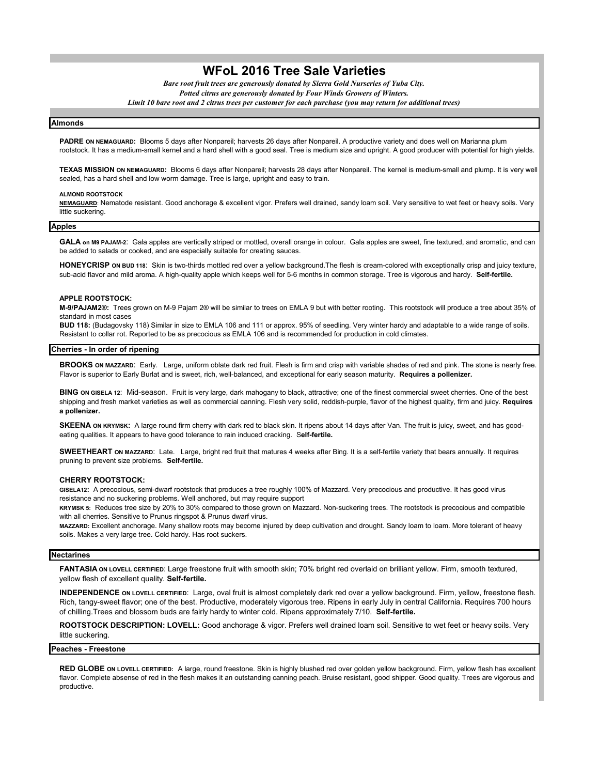# **WFoL 2016 Tree Sale Varieties**

*Bare root fruit trees are generously donated by Sierra Gold Nurseries of Yuba City. Potted citrus are generously donated by Four Winds Growers of Winters. Limit 10 bare root and 2 citrus trees per customer for each purchase (you may return for additional trees)*

#### **Almonds**

PADRE ON NEMAGUARD: Blooms 5 days after Nonpareil; harvests 26 days after Nonpareil. A productive variety and does well on Marianna plum rootstock. It has a medium-small kernel and a hard shell with a good seal. Tree is medium size and upright. A good producer with potential for high yields.

**TEXAS MISSION ON NEMAGUARD:** Blooms 6 days after Nonpareil; harvests 28 days after Nonpareil. The kernel is medium-small and plump. It is very well sealed, has a hard shell and low worm damage. Tree is large, upright and easy to train.

#### **ALMOND ROOTSTOCK**

**NEMAGUARD**: Nematode resistant. Good anchorage & excellent vigor. Prefers well drained, sandy loam soil. Very sensitive to wet feet or heavy soils. Very little suckering.

#### **Apples**

**GALA on M9 PAJAM-2**: Gala apples are vertically striped or mottled, overall orange in colour. Gala apples are sweet, fine textured, and aromatic, and can be added to salads or cooked, and are especially suitable for creating sauces.

**HONEYCRISP ON BUD 118**: Skin is two-thirds mottled red over a yellow background.The flesh is cream-colored with exceptionally crisp and juicy texture, sub-acid flavor and mild aroma. A high-quality apple which keeps well for 5-6 months in common storage. Tree is vigorous and hardy. **Self-fertile.**

#### **APPLE ROOTSTOCK:**

**M-9/PAJAM2®:** Trees grown on M-9 Pajam 2® will be similar to trees on EMLA 9 but with better rooting. This rootstock will produce a tree about 35% of standard in most cases

**BUD 118:** (Budagovsky 118) Similar in size to EMLA 106 and 111 or approx. 95% of seedling. Very winter hardy and adaptable to a wide range of soils. Resistant to collar rot. Reported to be as precocious as EMLA 106 and is recommended for production in cold climates.

#### **Cherries - In order of ripening**

**BROOKS ON MAZZARD**: Early. Large, uniform oblate dark red fruit. Flesh is firm and crisp with variable shades of red and pink. The stone is nearly free. Flavor is superior to Early Burlat and is sweet, rich, well-balanced, and exceptional for early season maturity. **Requires a pollenizer.**

**BING ON GISELA 12**: Mid-season. Fruit is very large, dark mahogany to black, attractive; one of the finest commercial sweet cherries. One of the best shipping and fresh market varieties as well as commercial canning. Flesh very solid, reddish-purple, flavor of the highest quality, firm and juicy. **Requires a pollenizer.**

**SKEENA ON KRYMSK:** A large round firm cherry with dark red to black skin. It ripens about 14 days after Van. The fruit is juicy, sweet, and has goodeating qualities. It appears to have good tolerance to rain induced cracking. S**elf-fertile.**

**SWEETHEART ON MAZZARD**: Late. Large, bright red fruit that matures 4 weeks after Bing. It is a self-fertile variety that bears annually. It requires pruning to prevent size problems. **Self-fertile.**

### **CHERRY ROOTSTOCK:**

**GISELA12:** A precocious, semi-dwarf rootstock that produces a tree roughly 100% of Mazzard. Very precocious and productive. It has good virus resistance and no suckering problems. Well anchored, but may require support

**KRYMSK 5:** Reduces tree size by 20% to 30% compared to those grown on Mazzard. Non-suckering trees. The rootstock is precocious and compatible with all cherries. Sensitive to Prunus ringspot & Prunus dwarf virus.

**MAZZARD:** Excellent anchorage. Many shallow roots may become injured by deep cultivation and drought. Sandy loam to loam. More tolerant of heavy soils. Makes a very large tree. Cold hardy. Has root suckers.

#### **Nectarines**

**FANTASIA ON LOVELL CERTIFIED**: Large freestone fruit with smooth skin; 70% bright red overlaid on brilliant yellow. Firm, smooth textured, yellow flesh of excellent quality. **Self-fertile.**

**INDEPENDENCE ON LOVELL CERTIFIED**: Large, oval fruit is almost completely dark red over a yellow background. Firm, yellow, freestone flesh. Rich, tangy-sweet flavor; one of the best. Productive, moderately vigorous tree. Ripens in early July in central California. Requires 700 hours of chilling.Trees and blossom buds are fairly hardy to winter cold. Ripens approximately 7/10. **Self-fertile.**

**ROOTSTOCK DESCRIPTION: LOVELL:** Good anchorage & vigor. Prefers well drained loam soil. Sensitive to wet feet or heavy soils. Very little suckering.

#### **Peaches - Freestone**

**RED GLOBE ON LOVELL CERTIFIED:** A large, round freestone. Skin is highly blushed red over golden yellow background. Firm, yellow flesh has excellent flavor. Complete absense of red in the flesh makes it an outstanding canning peach. Bruise resistant, good shipper. Good quality. Trees are vigorous and productive.